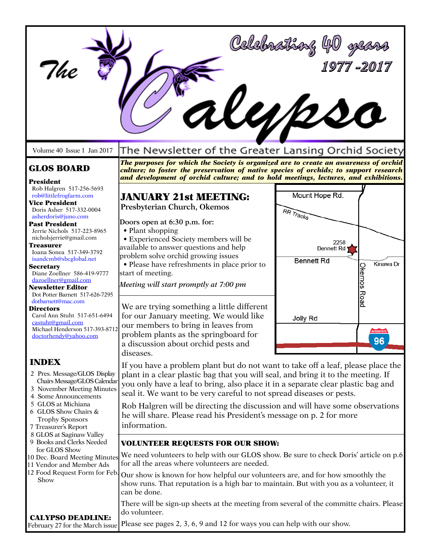| The                                                                                                                                                                                                                                                                                                                                                                                                                | All120                                                                                                                                                                                                                                                                                                                                                                        | Celebrathay 40<br>1977-2017                                                       |  |
|--------------------------------------------------------------------------------------------------------------------------------------------------------------------------------------------------------------------------------------------------------------------------------------------------------------------------------------------------------------------------------------------------------------------|-------------------------------------------------------------------------------------------------------------------------------------------------------------------------------------------------------------------------------------------------------------------------------------------------------------------------------------------------------------------------------|-----------------------------------------------------------------------------------|--|
| Volume 40 Issue 1 Jan 2017                                                                                                                                                                                                                                                                                                                                                                                         | The Newsletter of the Greater Lansing Orchid Society                                                                                                                                                                                                                                                                                                                          |                                                                                   |  |
| <b>GLOS BOARD</b>                                                                                                                                                                                                                                                                                                                                                                                                  | The purposes for which the Society is organized are to create an awareness of orchid<br>culture; to foster the preservation of native species of orchids; to support research<br>and development of orchid culture; and to hold meetings, lectures, and exhibitions.                                                                                                          |                                                                                   |  |
| President<br>Rob Halgren 517-256-5693<br>rob@littlefrogfarm.com<br><b>Vice President</b><br>Doris Asher 517-332-0004                                                                                                                                                                                                                                                                                               | <b>JANUARY 21st MEETING:</b><br>Presbyterian Church, Okemos                                                                                                                                                                                                                                                                                                                   | Mount Hope Rd.<br>RR Tracks                                                       |  |
| asherdoris@juno.com<br><b>Past President</b><br>Jerrie Nichols 517-223-8965<br>nicholsjerrie@gmail.com<br>Treasurer<br>Ioana Sonea 517-349-3792<br>isandcmb@sbcglobal.net<br><b>Secretary</b><br>Diane Zoellner 586-419-9777<br>dazoellner@gmail.com<br><b>Newsletter Editor</b><br>Dot Potter Barnett 517-626-7295                                                                                                | Doors open at 6:30 p.m. for:<br>• Plant shopping<br>• Experienced Society members will be<br>available to answer questions and help<br>problem solve orchid growing issues<br>• Please have refreshments in place prior to<br>start of meeting.<br>Meeting will start promptly at 7:00 pm                                                                                     | 2258<br><b>Bennett Rd</b><br><b>Bennett Rd</b><br>Kinawa Dr<br><b>Okemos Road</b> |  |
| dotbarnett@mac.com<br>Directors<br>Carol Ann Stuht 517-651-6494<br>castuht@gmail.com<br>Michael Henderson 517-393-8712<br>doctorhendy@yahoo.com                                                                                                                                                                                                                                                                    | We are trying something a little different<br>for our January meeting. We would like<br>our members to bring in leaves from<br>problem plants as the springboard for<br>a discussion about orchid pests and<br>diseases.                                                                                                                                                      | Jolly Rd                                                                          |  |
| <b>INDEX</b><br>2 Pres. Message/GLOS Display<br>Chairs Message/GLOS Calendar<br>3 November Meeting Minutes<br>4 Some Announcements<br>5 GLOS at Michiana<br>6 GLOS Show Chairs &<br><b>Trophy Sponsors</b><br>7 Treasurer's Report<br>8 GLOS at Saginaw Valley<br>9 Books and Clerks Needed<br>for GLOS Show<br>10 Dec. Board Meeting Minutes<br>11 Vendor and Member Ads<br>12 Food Request Form for Feb.<br>Show | If you have a problem plant but do not want to take off a leaf, please place the<br>plant in a clear plastic bag that you will seal, and bring it to the meeting. If<br>you only have a leaf to bring, also place it in a separate clear plastic bag and<br>seal it. We want to be very careful to not spread diseases or pests.                                              |                                                                                   |  |
|                                                                                                                                                                                                                                                                                                                                                                                                                    | Rob Halgren will be directing the discussion and will have some observations<br>he will share. Please read his President's message on p. 2 for more<br>information.                                                                                                                                                                                                           |                                                                                   |  |
|                                                                                                                                                                                                                                                                                                                                                                                                                    | <b>VOLUNTEER REQUESTS FOR OUR SHOW:</b><br>We need volunteers to help with our GLOS show. Be sure to check Doris' article on p.6<br>for all the areas where volunteers are needed.<br>Our show is known for how helpful our volunteers are, and for how smoothly the<br>show runs. That reputation is a high bar to maintain. But with you as a volunteer, it<br>can be done. |                                                                                   |  |
| <b>CALYPSO DEADLINE:</b><br>February 27 for the March issue                                                                                                                                                                                                                                                                                                                                                        | There will be sign-up sheets at the meeting from several of the committe chairs. Please<br>do volunteer.<br>Please see pages 2, 3, 6, 9 and 12 for ways you can help with our show.                                                                                                                                                                                           |                                                                                   |  |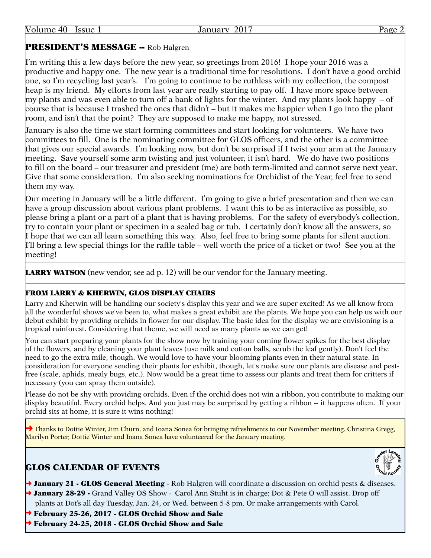## PRESIDENT'S MESSAGE -- Rob Halgren

I'm writing this a few days before the new year, so greetings from 2016! I hope your 2016 was a productive and happy one. The new year is a traditional time for resolutions. I don't have a good orchid one, so I'm recycling last year's. I'm going to continue to be ruthless with my collection, the compost heap is my friend. My efforts from last year are really starting to pay off. I have more space between my plants and was even able to turn off a bank of lights for the winter. And my plants look happy – of course that is because I trashed the ones that didn't – but it makes me happier when I go into the plant room, and isn't that the point? They are supposed to make me happy, not stressed.

January is also the time we start forming committees and start looking for volunteers. We have two committees to fill. One is the nominating committee for GLOS officers, and the other is a committee that gives our special awards. I'm looking now, but don't be surprised if I twist your arm at the January meeting. Save yourself some arm twisting and just volunteer, it isn't hard. We do have two positions to fill on the board – our treasurer and president (me) are both term-limited and cannot serve next year. Give that some consideration. I'm also seeking nominations for Orchidist of the Year, feel free to send them my way.

Our meeting in January will be a little different. I'm going to give a brief presentation and then we can have a group discussion about various plant problems. I want this to be as interactive as possible, so please bring a plant or a part of a plant that is having problems. For the safety of everybody's collection, try to contain your plant or specimen in a sealed bag or tub. I certainly don't know all the answers, so I hope that we can all learn something this way. Also, feel free to bring some plants for silent auction. I'll bring a few special things for the raffle table – well worth the price of a ticket or two! See you at the meeting!

**LARRY WATSON** (new vendor, see ad p. 12) will be our vendor for the January meeting.

#### FROM LARRY & KHERWIN, GLOS DISPLAY CHAIRS

Larry and Kherwin will be handling our society's display this year and we are super excited! As we all know from all the wonderful shows we've been to, what makes a great exhibit are the plants. We hope you can help us with our debut exhibit by providing orchids in flower for our display. The basic idea for the display we are envisioning is a tropical rainforest. Considering that theme, we will need as many plants as we can get!

You can start preparing your plants for the show now by training your coming flower spikes for the best display of the flowers, and by cleaning your plant leaves (use milk and cotton balls, scrub the leaf gently). Don't feel the need to go the extra mile, though. We would love to have your blooming plants even in their natural state. In consideration for everyone sending their plants for exhibit, though, let's make sure our plants are disease and pestfree (scale, aphids, mealy bugs, etc.). Now would be a great time to assess our plants and treat them for critters if necessary (you can spray them outside).

Please do not be shy with providing orchids. Even if the orchid does not win a ribbon, you contribute to making our display beautiful. Every orchid helps. And you just may be surprised by getting a ribbon -- it happens often. If your orchid sits at home, it is sure it wins nothing!

**→** Thanks to Dottie Winter, Jim Churn, and Ioana Sonea for bringing refreshments to our November meeting. Christina Gregg, Marilyn Porter, Dottie Winter and Ioana Sonea have volunteered for the January meeting.

## GLOS CALENDAR OF EVENTS



- → January 21 GLOS General Meeting Rob Halgren will coordinate a discussion on orchid pests & diseases.
- → January 28-29 Grand Valley OS Show Carol Ann Stuht is in charge; Dot & Pete O will assist. Drop off plants at Dot's all day Tuesday, Jan. 24, or Wed. between 5-8 pm. Or make arrangements with Carol.
- ➜ February 25-26, 2017 GLOS Orchid Show and Sale
- ➜ February 24-25, 2018 GLOS Orchid Show and Sale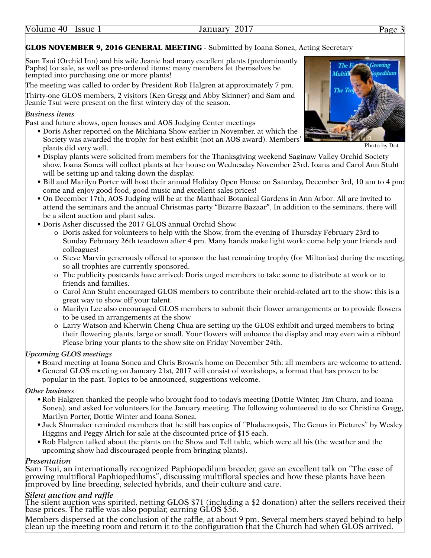### GLOS NOVEMBER 9, 2016 GENERAL MEETING - Submitted by Ioana Sonea, Acting Secretary

Sam Tsui (Orchid Inn) and his wife Jeanie had many excellent plants (predominantly Paphs) for sale, as well as pre-ordered items: many members let themselves be tempted into purchasing one or more plants!

The meeting was called to order by President Rob Halgren at approximately 7 pm.

Thirty-one GLOS members, 2 visitors (Ken Gregg and Abby Skinner) and Sam and Jeanie Tsui were present on the first wintery day of the season.

#### *Business items*

Past and future shows, open houses and AOS Judging Center meetings

- Doris Asher reported on the Michiana Show earlier in November, at which the Society was awarded the trophy for best exhibit (not an AOS award). Members' plants did very well.
- Display plants were solicited from members for the Thanksgiving weekend Saginaw Valley Orchid Society show. Ioana Sonea will collect plants at her house on Wednesday November 23rd. Ioana and Carol Ann Stuht will be setting up and taking down the display.
- Bill and Marilyn Porter will host their annual Holiday Open House on Saturday, December 3rd, 10 am to 4 pm: come and enjoy good food, good music and excellent sales prices!
- On December 17th, AOS Judging will be at the Matthaei Botanical Gardens in Ann Arbor. All are invited to attend the seminars and the annual Christmas party "Bizarre Bazaar". In addition to the seminars, there will be a silent auction and plant sales.
- Doris Asher discussed the 2017 GLOS annual Orchid Show.
	- o Doris asked for volunteers to help with the Show, from the evening of Thursday February 23rd to Sunday February 26th teardown after 4 pm. Many hands make light work: come help your friends and colleagues!
	- o Steve Marvin generously offered to sponsor the last remaining trophy (for Miltonias) during the meeting, so all trophies are currently sponsored.
	- The publicity postcards have arrived: Doris urged members to take some to distribute at work or to friends and families.
	- o Carol Ann Stuht encouraged GLOS members to contribute their orchid-related art to the show: this is a great way to show off your talent.
	- o Marilyn Lee also encouraged GLOS members to submit their flower arrangements or to provide flowers to be used in arrangements at the show
	- o Larry Watson and Kherwin Cheng Chua are setting up the GLOS exhibit and urged members to bring their flowering plants, large or small. Your flowers will enhance the display and may even win a ribbon! Please bring your plants to the show site on Friday November 24th.

#### *Upcoming GLOS meetings*

- Board meeting at Ioana Sonea and Chris Brown's home on December 5th: all members are welcome to attend.
- General GLOS meeting on January 21st, 2017 will consist of workshops, a format that has proven to be popular in the past. Topics to be announced, suggestions welcome.

### *Other business*

- Rob Halgren thanked the people who brought food to today's meeting (Dottie Winter, Jim Churn, and Ioana Sonea), and asked for volunteers for the January meeting. The following volunteered to do so: Christina Gregg, Marilyn Porter, Dottie Winter and Ioana Sonea.
- Jack Shumaker reminded members that he still has copies of "Phalaenopsis, The Genus in Pictures" by Wesley Higgins and Peggy Alrich for sale at the discounted price of \$15 each.
- Rob Halgren talked about the plants on the Show and Tell table, which were all his (the weather and the upcoming show had discouraged people from bringing plants).

### *Presentation*

Sam Tsui, an internationally recognized Paphiopedilum breeder, gave an excellent talk on "The ease of growing multifloral Paphiopedilums", discussing multifloral species and how these plants have been improved by line breeding, selected hybrids, and their culture and care.

### *Silent auction and raffle*

The silent auction was spirited, netting GLOS \$71 (including a \$2 donation) after the sellers received their base prices. The raffle was also popular, earning GLOS \$56.

Members dispersed at the conclusion of the raffle, at about 9 pm. Several members stayed behind to help clean up the meeting room and return it to the configuration that the Church had when GLOS arrived.



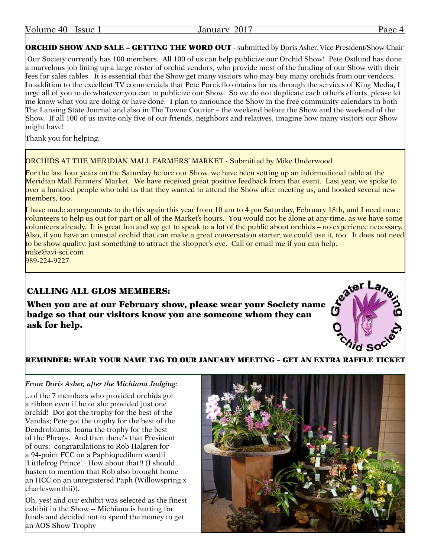| Volume<br>40. | <b>Issue</b> | 201 <sup>2</sup><br>10W<br>,,,<br>Jaliua'<br>.v. | $\sim$ |
|---------------|--------------|--------------------------------------------------|--------|
|               |              |                                                  |        |

**ORCHID SHOW AND SALE - GETTING THE WORD OUT** - submitted by Doris Asher, Vice President/Show Chair

 Our Society currently has 100 members. All 100 of us can help publicize our Orchid Show! Pete Ostlund has done a marvelous job lining up a large roster of orchid vendors, who provide most of the funding of our Show with their fees for sales tables. It is essential that the Show get many visitors who may buy many orchids from our vendors. In addition to the excellent TV commercials that Pete Porciello obtains for us through the services of King Media, I urge all of you to do whatever you can to publicize our Show. So we do not duplicate each other's efforts, please let me know what you are doing or have done. I plan to announce the Show in the free community calendars in both The Lansing State Journal and also in The Towne Courier – the weekend before the Show and the weekend of the Show. If all 100 of us invite only five of our friends, neighbors and relatives, imagine how many visitors our Show might have!

Thank you for helping.

#### ORCHIDS AT THE MERIDIAN MALL FARMERS' MARKET - Submitted by Mike Underwood

For the last four years on the Saturday before our Show, we have been setting up an informational table at the Meridian Mall Farmers' Market. We have received great positive feedback from that event. Last year, we spoke to over a hundred people who told us that they wanted to attend the Show after meeting us, and hooked several new members, too.

I have made arrangements to do this again this year from 10 am to 4 pm Saturday, February 18th, and I need more volunteers to help us out for part or all of the Market's hours. You would not be alone at any time, as we have some volunteers already. It is great fun and we get to speak to a lot of the public about orchids – no experience necessary. Also, if you have an unusual orchid that can make a great conversation starter, we could use it, too. It does not need to be show quality, just something to attract the shopper's eye. Call or email me if you can help. mike@avi-sci.com

989-224-9227

#### CALLING ALL GLOS MEMBERS:

When you are at our February show, please wear your Society name badge so that our visitors know you are someone whom they can ask for help.



#### REMINDER: WEAR YOUR NAME TAG TO OUR JANUARY MEETING – GET AN EXTRA RAFFLE TICKET

#### *From Doris Asher, after the Michiana Judging:*

...of the 7 members who provided orchids got a ribbon even if he or she provided just one orchid! Dot got the trophy for the best of the Vandas; Pete got the trophy for the best of the Dendrobiums; Ioana the trophy for the best of the Phrags. And then there's that President of ours: congratulations to Rob Halgren for a 94-point FCC on a Paphiopedilum wardii 'Littlefrog Prince'. How about that!! (I should hasten to mention that Rob also brought home an HCC on an unregistered Paph (Willowspring x charlesworthii)).

Oh, yes! and our exhibit was selected as the finest exhibit in the Show -- Michiana is hurting for funds and decided not to spend the money to get an AOS Show Trophy

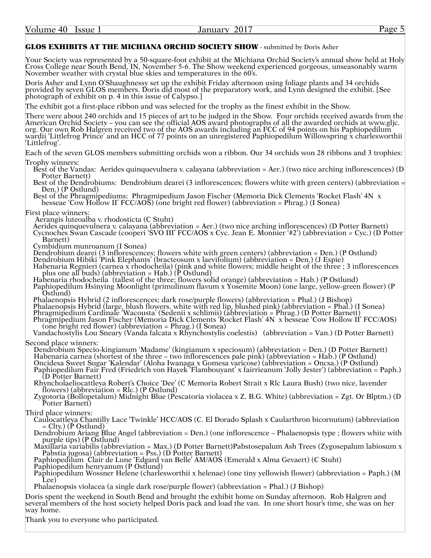Volume 40 Issue 1 **Issue 1** January 2017 **Page 5** 

#### GLOS EXHIBITS AT THE MICHIANA ORCHID SOCIETY SHOW - submitted by Doris Asher

Your Society was represented by a 50-square-foot exhibit at the Michiana Orchid Society's annual show held at Holy Cross College near South Bend, IN, November 5-6. The Show weekend experienced gorgeous, unseasonably warm November weather with crystal blue skies and temperatures in the 60's.

Doris Asher and Lynn O'Shaughnessy set up the exhibit Friday afternoon using foliage plants and 34 orchids provided by seven GLOS members. Doris did most of the preparatory work, and Lynn designed the exhibit. [See photograph of exhibit on p. 4 in this issue of Calypso.]

The exhibit got a first-place ribbon and was selected for the trophy as the finest exhibit in the Show.

There were about 240 orchids and 15 pieces of art to be judged in the Show. Four orchids received awards from the American Orchid Society – you can see the official AOS award photographs of all the awarded orchids at www.gljc. org. Our own Rob Halgren received two of the AOS awards including an FCC of 94 points on his Paphiopedilum wardii 'Littlefrog Prince' and an HCC of 77 points on an unregistered Paphiopedilum Willowspring x charlesworthii 'Littlefrog'.

Each of the seven GLOS members submitting orchids won a ribbon. Our 34 orchids won 28 ribbons and 3 trophies:

Trophy winners:<br>
Best of the Vandas: Aerides quinquevulnera v. calayana (abbreviation = Aer.) (two nice arching inflorescences) (D<br>
Potter Barnett)<br>
Best of the Dendrobiums: Dendrobium dearei (3 inflorescences; flowers whi

First place winners: Aerangis luteoalba v. rhodosticta (C Stuht)

Aerides quinquevulnera v. calayana (abbreviation = Aer.) (two nice arching inflorescences) (D Potter Barnett) Cycnoches Swan Cascade (cooperi 'SVO III' FCC/AOS x Cyc. Jean E. Monnier '#2') (abbreviation = Cyc.) (D Potter<br>Barnett)<br>Cymbidium munroanum (I Sonea)

Dendrobium dearei (3 inflorescences; flowers white with green centers) (abbreviation = Den.) (P Ostlund)

Dendrobium Hibiki 'Pink Elephants' (bracteosum x laevifolium) (abbreviation = Den.) (J Espie)

Habenaria Regnieri (carnea x rhodocheila) (pink and white flowers; middle height of the three ; 3 inflorescences<br>plus one all buds) (abbreviation = Hab.) (P Ostlund)<br>Habenaria rhodocheila (tallest of the three; flowers so

Paphiopedilum Hsinying Moonlight (primulinum flavum x Yosemite Moon) (one large, yellow-green flower) (P Ostlund)<br>Ostlund)<br>Phalaenopsis Hybrid (2 inflorescences; dark rose/purple flowers) (abbreviation = Phal.) (J Bishop)

Phalaenopsis Hybrid (large, blush flowers, white with red lip, blushed pink) (abbreviation = Phal.) (I Sonea) Phragmipedium Cardinale 'Wacousta' (Sedenii x schlimii) (abbreviation = Phrag.) (D Potter Barnett)

Phragmipedium Jason Fischer (Memoria Dick Clements 'Rocket Flash' 4N x besseae 'Cow Hollow II' FCC/AOS)<br>(one bright red flower) (abbreviation = Phrag.) (I Sonea)<br>Vandachostylis Lou Sneary (Vanda falcata x Rhynchostylis coe

Second place winners:<br>| Dendrobium Specio-kingianum 'Madame' (kingianum x speciosum) (abbreviation = Den.) (D Potter Barnett) Habenaria carnea (shortest of the three – two inflorescences pale pink) (abbreviation = Hab.) (P Ostlund) Oncidesa Sweet Sugar 'Kalendar' (Aloha Iwanaga x Gomesa varicose) (abbreviation = Oncsa.) (P Ostlund)

(D Potter Barnett)<br>Rhyncholaeliocattleya Robert's Choice 'Dee' (C Memoria Robert Strait x Rlc Laura Bush) (two nice, lavender<br>flowers) (abbreviation = Rlc.) (P Ostlund)<br>Zygotoria (Bollopetalum) Midnight Blue (Pescatoria vi

Third place winners:<br>
Caulocattleya Chantilly Lace 'Twinkle' HCC/AOS (C. El Dorado Splash x Caularthron bicornutum) (abbreviation<br>
= Clty.) (P Ostlund)<br>
Dendrobium Ariang Blue Angel (abbreviation = Den.) (one inflorescence

Paphiopedilum henryanum (P Ostlund)

Paphiopedilum Wossner Helene (charlesworthii x helenae) (one tiny yellowish flower) (abbreviation = Paph.) (M<br>Lee)<br>Phalaenopsis violacea (a single dark rose/purple flower) (abbreviation = Phal.) (J Bishop)

Doris spent the weekend in South Bend and brought the exhibit home on Sunday afternoon. Rob Halgren and several members of the host society helped Doris pack and load the van. In one short hour's time, she was on her way home.

Thank you to everyone who participated.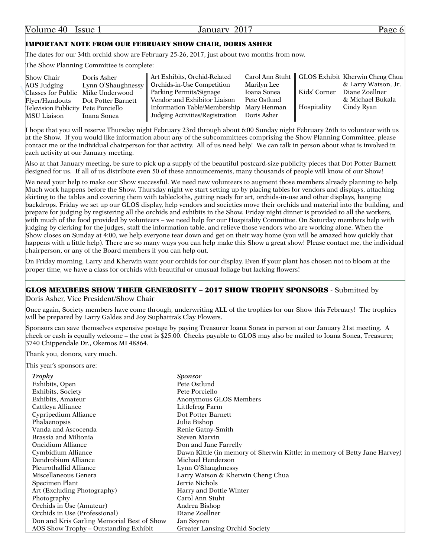#### IMPORTANT NOTE FROM OUR FEBRUARY SHOW CHAIR, DORIS ASHER

The dates for our 34th orchid show are February 25-26, 2017, just about two months from now.

The Show Planning Committee is complete:

| Show Chair                          | Doris Asher                       | Art Exhibits, Orchid-Related                |              |              | Carol Ann Stuht   GLOS Exhibit Kherwin Cheng Chua |
|-------------------------------------|-----------------------------------|---------------------------------------------|--------------|--------------|---------------------------------------------------|
| AOS Judging                         | Lynn O'Shaughnessy                | <b>Orchids-in-Use Competition</b>           | Marilyn Lee  |              | & Larry Watson, Jr.                               |
|                                     | Classes for Public Mike Underwood | Parking Permits/Signage                     | Ioana Sonea  | Kids' Corner | Diane Zoellner                                    |
|                                     | Flyer/Handouts Dot Potter Barnett | Vendor and Exhibitor Liaison                | Pete Ostlund |              | & Michael Bukala                                  |
| Television Publicity Pete Porciello |                                   | Information Table/Membership Mary Henman    |              | Hospitality  | Cindy Ryan                                        |
| MSU Liaison                         | Ioana Sonea                       | Judging Activities/Registration Doris Asher |              |              |                                                   |

I hope that you will reserve Thursday night February 23rd through about 6:00 Sunday night February 26th to volunteer with us at the Show. If you would like information about any of the subcommittees comprising the Show Planning Committee, please contact me or the individual chairperson for that activity. All of us need help! We can talk in person about what is involved in each activity at our January meeting.

Also at that January meeting, be sure to pick up a supply of the beautiful postcard-size publicity pieces that Dot Potter Barnett designed for us. If all of us distribute even 50 of these announcements, many thousands of people will know of our Show!

We need your help to make our Show successful. We need new volunteers to augment those members already planning to help. Much work happens before the Show. Thursday night we start setting up by placing tables for vendors and displays, attaching skirting to the tables and covering them with tablecloths, getting ready for art, orchids-in-use and other displays, hanging backdrops. Friday we set up our GLOS display, help vendors and societies move their orchids and material into the building, and prepare for judging by registering all the orchids and exhibits in the Show. Friday night dinner is provided to all the workers, with much of the food provided by volunteers – we need help for our Hospitality Committee. On Saturday members help with judging by clerking for the judges, staff the information table, and relieve those vendors who are working alone. When the Show closes on Sunday at 4:00, we help everyone tear down and get on their way home (you will be amazed how quickly that happens with a little help). There are so many ways you can help make this Show a great show! Please contact me, the individual chairperson, or any of the Board members if you can help out.

On Friday morning, Larry and Kherwin want your orchids for our display. Even if your plant has chosen not to bloom at the proper time, we have a class for orchids with beautiful or unusual foliage but lacking flowers!

#### GLOS MEMBERS SHOW THEIR GENEROSITY – 2017 SHOW TROPHY SPONSORS - Submitted by

Doris Asher, Vice President/Show Chair

Once again, Society members have come through, underwriting ALL of the trophies for our Show this February! The trophies will be prepared by Larry Galdes and Joy Suphattra's Clay Flowers.

Sponsors can save themselves expensive postage by paying Treasurer Ioana Sonea in person at our January 21st meeting. A check or cash is equally welcome – the cost is \$25.00. Checks payable to GLOS may also be mailed to Ioana Sonea, Treasurer, 3740 Chippendale Dr., Okemos MI 48864.

Thank you, donors, very much.

This year's sponsors are:

| Trophy                                     | Sponsor                                                                   |
|--------------------------------------------|---------------------------------------------------------------------------|
| Exhibits, Open                             | Pete Ostlund                                                              |
| Exhibits, Society                          | Pete Porciello                                                            |
| Exhibits, Amateur                          | Anonymous GLOS Members                                                    |
| Cattleya Alliance                          | Littlefrog Farm                                                           |
| Cypripedium Alliance                       | Dot Potter Barnett                                                        |
| Phalaenopsis                               | Julie Bishop                                                              |
| Vanda and Ascocenda                        | Renie Gatny-Smith                                                         |
| Brassia and Miltonia                       | <b>Steven Marvin</b>                                                      |
| Oncidium Alliance                          | Don and Jane Farrelly                                                     |
| Cymbidium Alliance                         | Dawn Kittle (in memory of Sherwin Kittle; in memory of Betty Jane Harvey) |
| Dendrobium Alliance                        | Michael Henderson                                                         |
| Pleurothallid Alliance                     | Lynn O'Shaughnessy                                                        |
| Miscellaneous Genera                       | Larry Watson & Kherwin Cheng Chua                                         |
| Specimen Plant                             | Jerrie Nichols                                                            |
| Art (Excluding Photography)                | Harry and Dottie Winter                                                   |
| Photography                                | Carol Ann Stuht                                                           |
| Orchids in Use (Amateur)                   | Andrea Bishop                                                             |
| Orchids in Use (Professional)              | Diane Zoellner                                                            |
| Don and Kris Garling Memorial Best of Show | Jan Szyren                                                                |
| AOS Show Trophy – Outstanding Exhibit      | <b>Greater Lansing Orchid Society</b>                                     |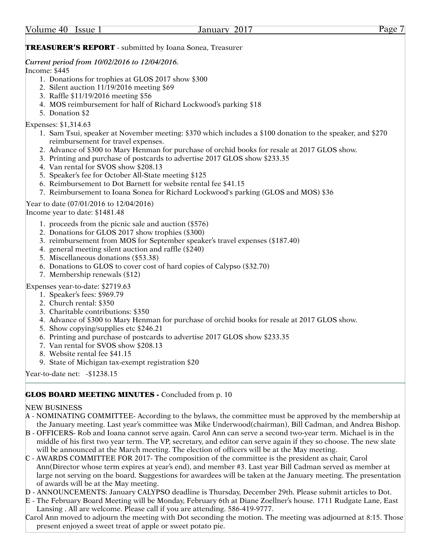#### **TREASURER'S REPORT** - submitted by Ioana Sonea, Treasurer

#### *Current period from 10/02/2016 to 12/04/2016.*

Income: \$445

- 1. Donations for trophies at GLOS 2017 show \$300
- 2. Silent auction 11/19/2016 meeting \$69
- 3. Raffle \$11/19/2016 meeting \$56
- 4. MOS reimbursement for half of Richard Lockwood's parking \$18
- 5. Donation \$2

#### Expenses: \$1,314.63

- 1. Sam Tsui, speaker at November meeting: \$370 which includes a \$100 donation to the speaker, and \$270 reimbursement for travel expenses.
- 2. Advance of \$300 to Mary Henman for purchase of orchid books for resale at 2017 GLOS show.
- 3. Printing and purchase of postcards to advertise 2017 GLOS show \$233.35
- 4. Van rental for SVOS show \$208.13
- 5. Speaker's fee for October All-State meeting \$125
- 6. Reimbursement to Dot Barnett for website rental fee \$41.15
- 7. Reimbursement to Ioana Sonea for Richard Lockwood's parking (GLOS and MOS) \$36

#### Year to date (07/01/2016 to 12/04/2016)

Income year to date: \$1481.48

- 1. proceeds from the picnic sale and auction (\$576)
- 2. Donations for GLOS 2017 show trophies (\$300)
- 3. reimbursement from MOS for September speaker's travel expenses (\$187.40)
- 4. general meeting silent auction and raffle (\$240)
- 5. Miscellaneous donations (\$53.38)
- 6. Donations to GLOS to cover cost of hard copies of Calypso (\$32.70)
- 7. Membership renewals (\$12)

Expenses year-to-date: \$2719.63

- 1. Speaker's fees: \$969.79
- 2. Church rental: \$350
- 3. Charitable contributions: \$350
- 4. Advance of \$300 to Mary Henman for purchase of orchid books for resale at 2017 GLOS show.
- 5. Show copying/supplies etc \$246.21
- 6. Printing and purchase of postcards to advertise 2017 GLOS show \$233.35
- 7. Van rental for SVOS show \$208.13
- 8. Website rental fee \$41.15
- 9. State of Michigan tax-exempt registration \$20

Year-to-date net: -\$1238.15

#### GLOS BOARD MEETING MINUTES - Concluded from p. 10

#### NEW BUSINESS

- A NOMINATING COMMITTEE- According to the bylaws, the committee must be approved by the membership at the January meeting. Last year's committee was Mike Underwood(chairman), Bill Cadman, and Andrea Bishop.
- B OFFICERS- Rob and Ioana cannot serve again. Carol Ann can serve a second two-year term. Michael is in the middle of his first two year term. The VP, secretary, and editor can serve again if they so choose. The new slate will be announced at the March meeting. The election of officers will be at the May meeting.
- C AWARDS COMMITTEE FOR 2017- The composition of the committee is the president as chair, Carol Ann(Director whose term expires at year's end), and member #3. Last year Bill Cadman served as member at large not serving on the board. Suggestions for awardees will be taken at the January meeting. The presentation of awards will be at the May meeting.
- D ANNOUNCEMENTS: January CALYPSO deadline is Thursday, December 29th. Please submit articles to Dot.
- E The February Board Meeting will be Monday, February 6th at Diane Zoellner's house. 1711 Rudgate Lane, East Lansing . All are welcome. Please call if you are attending. 586-419-9777.
- Carol Ann moved to adjourn the meeting with Dot seconding the motion. The meeting was adjourned at 8:15. Those present enjoyed a sweet treat of apple or sweet potato pie.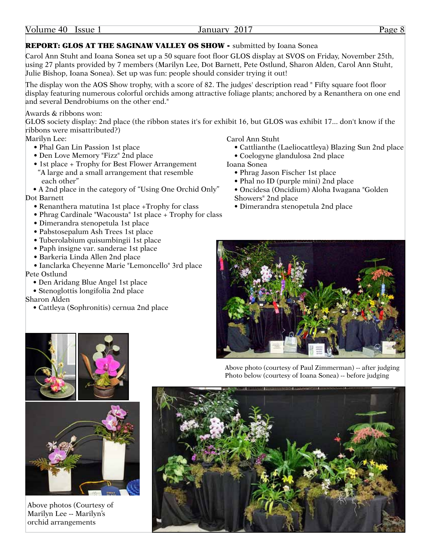| Volume 40 | Issue 1 |  |
|-----------|---------|--|
|           |         |  |

#### January 2017 Page 8

#### REPORT: GLOS AT THE SAGINAW VALLEY OS SHOW - submitted by Ioana Sonea

Carol Ann Stuht and Ioana Sonea set up a 50 square foot floor GLOS display at SVOS on Friday, November 25th, using 27 plants provided by 7 members (Marilyn Lee, Dot Barnett, Pete Ostlund, Sharon Alden, Carol Ann Stuht, Julie Bishop, Ioana Sonea). Set up was fun: people should consider trying it out!

The display won the AOS Show trophy, with a score of 82. The judges' description read " Fifty square foot floor display featuring numerous colorful orchids among attractive foliage plants; anchored by a Renanthera on one end and several Dendrobiums on the other end."

Awards & ribbons won:

GLOS society display: 2nd place (the ribbon states it's for exhibit 16, but GLOS was exhibit 17... don't know if the ribbons were misattributed?)

Marilyn Lee:

- Phal Gan Lin Passion 1st place
- Den Love Memory "Fizz" 2nd place
- 1st place + Trophy for Best Flower Arrangement "A large and a small arrangement that resemble each other"
- A 2nd place in the category of "Using One Orchid Only" Dot Barnett
	- Renanthera matutina 1st place +Trophy for class
	- Phrag Cardinale "Wacousta" 1st place + Trophy for class
	- Dimerandra stenopetula 1st place
	- Pabstosepalum Ash Trees 1st place
	- Tuberolabium quisumbingii 1st place
	- Paph insigne var. sanderae 1st place
	- Barkeria Linda Allen 2nd place

• Ianclarka Cheyenne Marie "Lemoncello" 3rd place Pete Ostlund

- Den Aridang Blue Angel 1st place
- Stenoglottis longifolia 2nd place

Sharon Alden

• Cattleya (Sophronitis) cernua 2nd place

Carol Ann Stuht

- Cattlianthe (Laeliocattleya) Blazing Sun 2nd place
- Coelogyne glandulosa 2nd place

Ioana Sonea

- Phrag Jason Fischer 1st place
- Phal no ID (purple mini) 2nd place
- Oncidesa (Oncidium) Aloha Iwagana "Golden Showers" 2nd place
- Dimerandra stenopetula 2nd place







Above photos (Courtesy of Marilyn Lee -- Marilyn's orchid arrangements

Above photo (courtesy of Paul Zimmerman) -- after judging Photo below (courtesy of Ioana Sonea) -- before judging

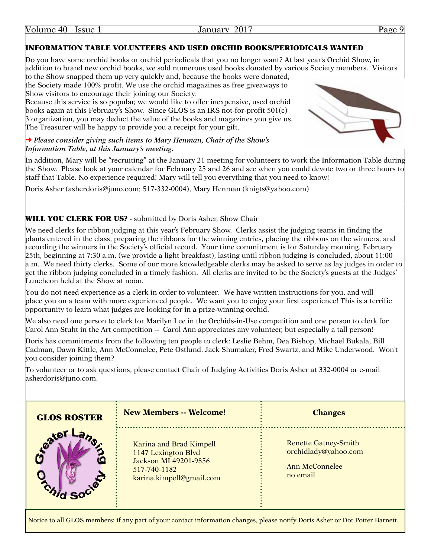| Volume 40 |  | Issue 1 |
|-----------|--|---------|
|-----------|--|---------|

#### INFORMATION TABLE VOLUNTEERS AND USED ORCHID BOOKS/PERIODICALS WANTED

Do you have some orchid books or orchid periodicals that you no longer want? At last year's Orchid Show, in addition to brand new orchid books, we sold numerous used books donated by various Society members. Visitors to the Show snapped them up very quickly and, because the books were donated,

the Society made 100% profit. We use the orchid magazines as free giveaways to Show visitors to encourage their joining our Society.

Because this service is so popular, we would like to offer inexpensive, used orchid books again at this February's Show. Since GLOS is an IRS not-for-profit 501(c) 3 organization, you may deduct the value of the books and magazines you give us. The Treasurer will be happy to provide you a receipt for your gift.

#### ➜ *Please consider giving such items to Mary Henman, Chair of the Show's Information Table, at this January's meeting.*

In addition, Mary will be "recruiting" at the January 21 meeting for volunteers to work the Information Table during the Show. Please look at your calendar for February 25 and 26 and see when you could devote two or three hours to staff that Table. No experience required! Mary will tell you everything that you need to know!

Doris Asher (asherdoris@juno.com; 517-332-0004), Mary Henman (knigts@yahoo.com)

#### WILL YOU CLERK FOR US? - submitted by Doris Asher, Show Chair

We need clerks for ribbon judging at this year's February Show. Clerks assist the judging teams in finding the plants entered in the class, preparing the ribbons for the winning entries, placing the ribbons on the winners, and recording the winners in the Society's official record. Your time commitment is for Saturday morning, February 25th, beginning at 7:30 a.m. (we provide a light breakfast), lasting until ribbon judging is concluded, about 11:00 a.m. We need thirty clerks. Some of our more knowledgeable clerks may be asked to serve as lay judges in order to get the ribbon judging concluded in a timely fashion. All clerks are invited to be the Society's guests at the Judges' Luncheon held at the Show at noon.

You do not need experience as a clerk in order to volunteer. We have written instructions for you, and will place you on a team with more experienced people. We want you to enjoy your first experience! This is a terrific opportunity to learn what judges are looking for in a prize-winning orchid.

We also need one person to clerk for Marilyn Lee in the Orchids-in-Use competition and one person to clerk for Carol Ann Stuht in the Art competition -- Carol Ann appreciates any volunteer, but especially a tall person!

Doris has commitments from the following ten people to clerk: Leslie Behm, Dea Bishop, Michael Bukala, Bill Cadman, Dawn Kittle, Ann McConnelee, Pete Ostlund, Jack Shumaker, Fred Swartz, and Mike Underwood. Won't you consider joining them?

To volunteer or to ask questions, please contact Chair of Judging Activities Doris Asher at 332-0004 or e-mail asherdoris@juno.com.

| <b>GLOS ROSTER</b>      | <b>New Members -- Welcome!</b>                                                                                      | <b>Changes</b>                                                                    |
|-------------------------|---------------------------------------------------------------------------------------------------------------------|-----------------------------------------------------------------------------------|
| Cater<br><b>ALCITED</b> | Karina and Brad Kimpell<br>1147 Lexington Blvd<br>Jackson MI 49201-9856<br>517-740-1182<br>karina.kimpell@gmail.com | <b>Renette Gatney-Smith</b><br>orchidlady@yahoo.com<br>Ann McConnelee<br>no email |

Notice to all GLOS members: if any part of your contact information changes, please notify Doris Asher or Dot Potter Barnett.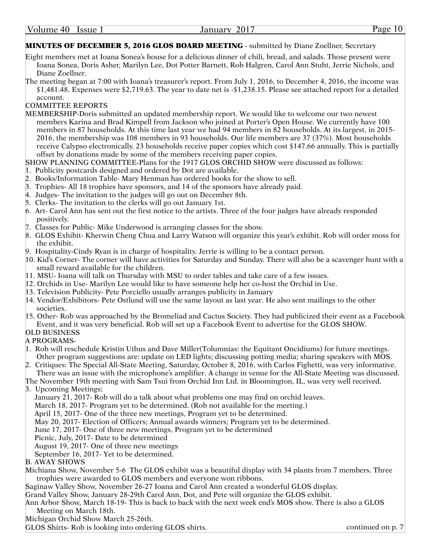#### MINUTES OF DECEMBER 5, 2016 GLOS BOARD MEETING - submitted by Diane Zoellner, Secretary

- Eight members met at Ioana Sonea's house for a delicious dinner of chili, bread, and salads. Those present were Ioana Sonea, Doris Asher, Marilyn Lee, Dot Potter Barnett, Rob Halgren, Carol Ann Stuht, Jerrie Nichols, and Diane Zoellner.
- The meeting began at 7:00 with Ioana's treasurer's report. From July 1, 2016, to December 4, 2016, the income was \$1,481.48. Expenses were \$2,719.63. The year to date net is -\$1,238.15. Please see attached report for a detailed account.

#### COMMITTEE REPORTS

- MEMBERSHIP-Doris submitted an updated membership report. We would like to welcome our two newest members Karina and Brad Kimpell from Jackson who joined at Porter's Open House. We currently have 100 members in 87 households. At this time last year we had 94 members in 82 households. At its largest, in 2015- 2016, the membership was 108 members in 93 households. Our life members are 37 (37%). Most households receive Calypso electronically. 23 households receive paper copies which cost \$147.66 annually. This is partially offset by donations made by some of the members receiving paper copies.
- SHOW PLANNING COMMITTEE-Plans for the 1917 GLOS ORCHID SHOW were discussed as follows:
- 1. Publicity postcards designed and ordered by Dot are available.
- 2. Books/Information Table- Mary Henman has ordered books for the show to sell.
- 3. Trophies- All 18 trophies have sponsors, and 14 of the sponsors have already paid.
- 4. Judges- The invitation to the judges will go out on December 8th.
- 5. Clerks- The invitation to the clerks will go out January 1st.
- 6. Art- Carol Ann has sent out the first notice to the artists. Three of the four judges have already responded positively.
- 7. Classes for Public- Mike Underwood is arranging classes for the show.
- 8. GLOS Exhibit- Kherwin Cheng Chua and Larry Watson will organize this year's exhibit. Rob will order moss for the exhibit.
- 9. Hospitality-Cindy Ryan is in charge of hospitality. Jerrie is willing to be a contact person.
- 10. Kid's Corner- The corner will have activities for Saturday and Sunday. There will also be a scavenger hunt with a small reward available for the children.
- 11. MSU- Ioana will talk on Thursday with MSU to order tables and take care of a few issues.
- 12. Orchids in Use- Marilyn Lee would like to have someone help her co-host the Orchid in Use.
- 13. Television Publicity- Pete Porciello usually arranges publicity in January
- 14. Vendor/Exhibitors- Pete Ostlund will use the same layout as last year. He also sent mailings to the other societies.
- 15. Other- Rob was approached by the Bromeliad and Cactus Society. They had publicized their event as a Facebook
- Event, and it was very beneficial. Rob will set up a Facebook Event to advertise for the GLOS SHOW.

#### OLD BUSINESS A PROGRAMS-

- 1. Rob will reschedule Kristin Uthus and Dave Miller(Tolumnias: the Equitant Oncidiums) for future meetings. Other program suggestions are: update on LED lights; discussing potting media; sharing speakers with MOS.
- 2. Critiques: The Special All-State Meeting, Saturday, October 8, 2016, with Carlos Fighetti, was very informative. There was an issue with the microphone's amplifier. A change in venue for the All-State Meeting was discussed.
- The November 19th meeting with Sam Tsui from Orchid Inn Ltd. in Bloomington, IL, was very well received. 3. Upcoming Meetings;
- - January 21, 2017- Rob will do a talk about what problems one may find on orchid leaves.
	- March 18, 2017- Program yet to be determined. (Rob not available for the meeting.)

April 15, 2017- One of the three new meetings, Program yet to be determined.

- May 20, 2017- Election of Officers; Annual awards winners; Program yet to be determined.
- June 17, 2017- One of three new meetings, Program yet to be determined
- Picnic, July, 2017- Date to be determined

August 19, 2017- One of three new meetings

September 16, 2017- Yet to be determined.

B. AWAY SHOWS

Michiana Show, November 5-6 The GLOS exhibit was a beautiful display with 34 plants from 7 members. Three trophies were awarded to GLOS members and everyone won ribbons.

Saginaw Valley Show, November 26-27 Ioana and Carol Ann created a wonderful GLOS display.

Grand Valley Show, January 28-29th Carol Ann, Dot, and Pete will organize the GLOS exhibit.

Ann Arbor Show, March 18-19- This is back to back with the next week end's MOS show. There is also a GLOS Meeting on March 18th.

Michigan Orchid Show March 25-26th.

GLOS Shirts- Rob is looking into ordering GLOS shirts.

continued on p. 7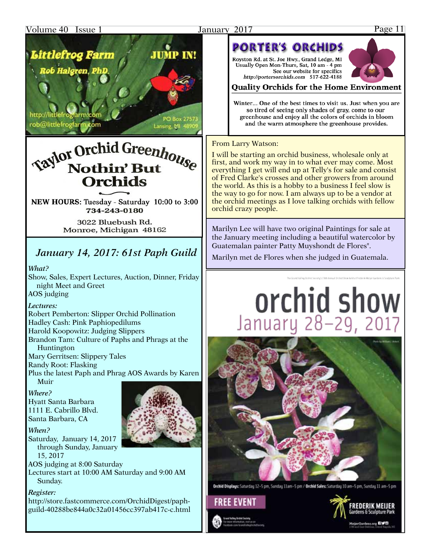#### Volume 40 Issue 1 January 2017 Page 11



http://littlefroglarm.co rob@littlefrogfarm.com

## **Taylor Orchid Greenhouse Nothin' But Orchids**

Lansing, MI 48

NEW HOURS: Tuesday - Saturday 10:00 to 3:00 734-243-0180

> 3022 Bluebush Rd. Monroe, Michigan 48162

## *January 14, 2017: 61st Paph Guild*

*What?* 

Show, Sales, Expert Lectures, Auction, Dinner, Friday night Meet and Greet AOS judging

#### *Lectures:*

Robert Pemberton: Slipper Orchid Pollination Hadley Cash: Pink Paphiopedilums Harold Koopowitz: Judging Slippers Brandon Tam: Culture of Paphs and Phrags at the Huntington

Mary Gerritsen: Slippery Tales

Randy Root: Flasking

Plus the latest Paph and Phrag AOS Awards by Karen Muir

#### *Where?*

Hyatt Santa Barbara 1111 E. Cabrillo Blvd. Santa Barbara, CA

#### *When?*

Saturday, January 14, 2017 through Sunday, January 15, 2017

AOS judging at 8:00 Saturday

Lectures start at 10:00 AM Saturday and 9:00 AM Sunday.

#### *Register:*

http://store.fastcommerce.com/OrchidDigest/paphguild-40288be844a0c32a01456cc397ab417c-c.html



## **PORTER'S ORCHIDS**

Royston Rd. at St. Joe Hwy., Grand Ledge, MI Usually Open Mon-Thurs, Sat, 10 am - 4 pm See our website for specifics http://portersorchids.com 517-622-4188



#### **Ouality Orchids for the Home Environment**

Winter... One of the best times to visit us. Just when you are so tired of seeing only shades of gray, come to our greenhouse and enjoy all the colors of orchids in bloom and the warm atmosphere the greenhouse provides.

#### From Larry Watson:

I will be starting an orchid business, wholesale only at first, and work my way in to what ever may come. Most everything I get will end up at Telly's for sale and consist of Fred Clarke's crosses and other growers from around the world. As this is a hobby to a business I feel slow is the way to go for now. I am always up to be a vendor at the orchid meetings as I love talking orchids with fellow orchid crazy people.

Marilyn Lee will have two original Paintings for sale at the January meeting including a beautiful watercolor by Guatemalan painter Patty Muyshondt de Flores".

Marilyn met de Flores when she judged in Guatemala.

# orchid show January 28-29, 2017



Orchid Displays: Saturday 12-5 pm, Sunday 11am-5 pm / Orchid Sales: Saturday 10 am-5 pm, Sunday 11 am-5 pm